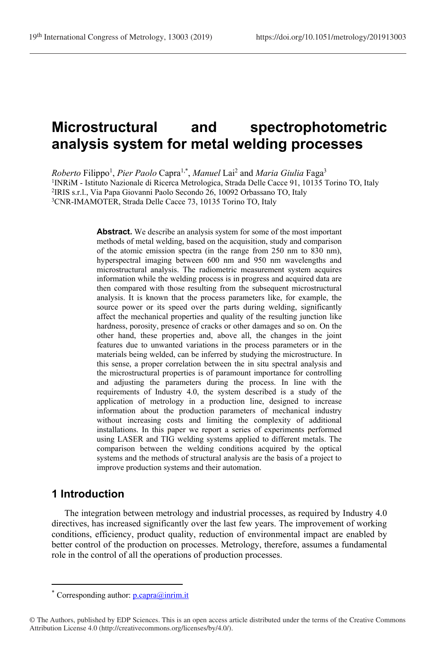# **Microstructural and spectrophotometric analysis system for metal welding processes**

Roberto Filippo<sup>1</sup>, Pier Paolo Capra<sup>1,\*</sup>, *Manuel* Lai<sup>2</sup> and *Maria Giulia* Faga<sup>3</sup> INRiM - Istituto Nazionale di Ricerca Metrologica, Strada Delle Cacce 91, 10135 Torino TO, Italy IRIS s.r.l., Via Papa Giovanni Paolo Secondo 26, 10092 Orbassano TO, Italy CNR-IMAMOTER, Strada Delle Cacce 73, 10135 Torino TO, Italy

> **Abstract.** We describe an analysis system for some of the most important methods of metal welding, based on the acquisition, study and comparison of the atomic emission spectra (in the range from 250 nm to 830 nm), hyperspectral imaging between 600 nm and 950 nm wavelengths and microstructural analysis. The radiometric measurement system acquires information while the welding process is in progress and acquired data are then compared with those resulting from the subsequent microstructural analysis. It is known that the process parameters like, for example, the source power or its speed over the parts during welding, significantly affect the mechanical properties and quality of the resulting junction like hardness, porosity, presence of cracks or other damages and so on. On the other hand, these properties and, above all, the changes in the joint features due to unwanted variations in the process parameters or in the materials being welded, can be inferred by studying the microstructure. In this sense, a proper correlation between the in situ spectral analysis and the microstructural properties is of paramount importance for controlling and adjusting the parameters during the process. In line with the requirements of Industry 4.0, the system described is a study of the application of metrology in a production line, designed to increase information about the production parameters of mechanical industry without increasing costs and limiting the complexity of additional installations. In this paper we report a series of experiments performed using LASER and TIG welding systems applied to different metals. The comparison between the welding conditions acquired by the optical systems and the methods of structural analysis are the basis of a project to improve production systems and their automation.

## **1 Introduction**

 $\overline{a}$ 

The integration between metrology and industrial processes, as required by Industry 4.0 directives, has increased significantly over the last few years. The improvement of working conditions, efficiency, product quality, reduction of environmental impact are enabled by better control of the production on processes. Metrology, therefore, assumes a fundamental role in the control of all the operations of production processes.

Corresponding author:  $p \cdot \text{capra}(a)$  inrim.it

<sup>©</sup> The Authors, published by EDP Sciences. This is an open access article distributed under the terms of the Creative Commons Attribution License 4.0 (http://creativecommons.org/licenses/by/4.0/).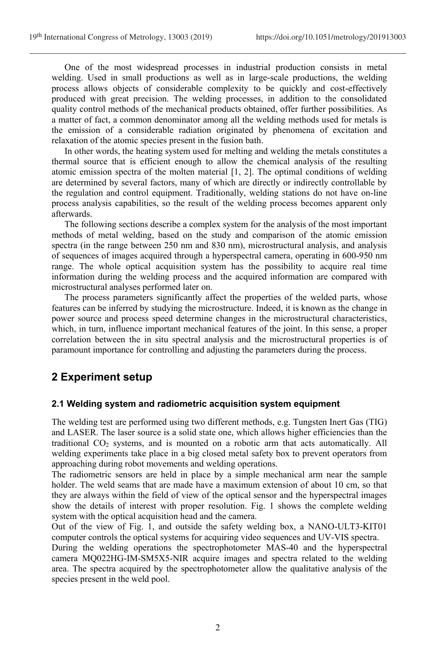One of the most widespread processes in industrial production consists in metal welding. Used in small productions as well as in large-scale productions, the welding process allows objects of considerable complexity to be quickly and cost-effectively produced with great precision. The welding processes, in addition to the consolidated quality control methods of the mechanical products obtained, offer further possibilities. As a matter of fact, a common denominator among all the welding methods used for metals is the emission of a considerable radiation originated by phenomena of excitation and relaxation of the atomic species present in the fusion bath.

In other words, the heating system used for melting and welding the metals constitutes a thermal source that is efficient enough to allow the chemical analysis of the resulting atomic emission spectra of the molten material [1, 2]. The optimal conditions of welding are determined by several factors, many of which are directly or indirectly controllable by the regulation and control equipment. Traditionally, welding stations do not have on-line process analysis capabilities, so the result of the welding process becomes apparent only afterwards.

The following sections describe a complex system for the analysis of the most important methods of metal welding, based on the study and comparison of the atomic emission spectra (in the range between 250 nm and 830 nm), microstructural analysis, and analysis of sequences of images acquired through a hyperspectral camera, operating in 600-950 nm range. The whole optical acquisition system has the possibility to acquire real time information during the welding process and the acquired information are compared with microstructural analyses performed later on.

The process parameters significantly affect the properties of the welded parts, whose features can be inferred by studying the microstructure. Indeed, it is known as the change in power source and process speed determine changes in the microstructural characteristics, which, in turn, influence important mechanical features of the joint. In this sense, a proper correlation between the in situ spectral analysis and the microstructural properties is of paramount importance for controlling and adjusting the parameters during the process.

# **2 Experiment setup**

#### **2.1 Welding system and radiometric acquisition system equipment**

The welding test are performed using two different methods, e.g. Tungsten Inert Gas (TIG) and LASER. The laser source is a solid state one, which allows higher efficiencies than the traditional CO<sup>2</sup> systems, and is mounted on a robotic arm that acts automatically. All welding experiments take place in a big closed metal safety box to prevent operators from approaching during robot movements and welding operations.

The radiometric sensors are held in place by a simple mechanical arm near the sample holder. The weld seams that are made have a maximum extension of about 10 cm, so that they are always within the field of view of the optical sensor and the hyperspectral images show the details of interest with proper resolution. Fig. 1 shows the complete welding system with the optical acquisition head and the camera.

Out of the view of Fig. 1, and outside the safety welding box, a NANO-ULT3-KIT01 computer controls the optical systems for acquiring video sequences and UV-VIS spectra.

During the welding operations the spectrophotometer MAS-40 and the hyperspectral camera MQ022HG-IM-SM5X5-NIR acquire images and spectra related to the welding area. The spectra acquired by the spectrophotometer allow the qualitative analysis of the species present in the weld pool.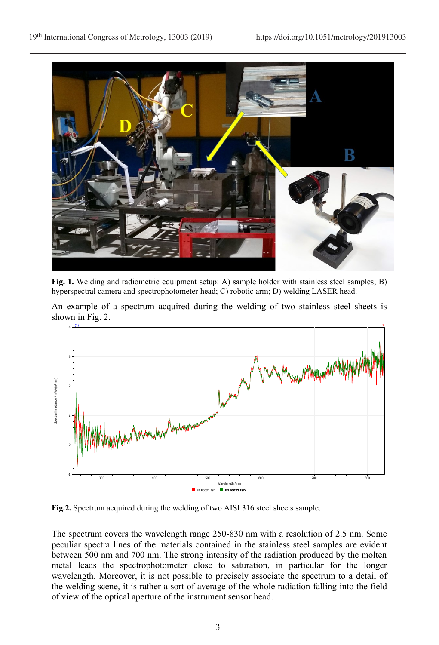

**Fig. 1.** Welding and radiometric equipment setup: A) sample holder with stainless steel samples; B) hyperspectral camera and spectrophotometer head; C) robotic arm; D) welding LASER head.

An example of a spectrum acquired during the welding of two stainless steel sheets is shown in Fig. 2.



**Fig.2.** Spectrum acquired during the welding of two AISI 316 steel sheets sample.

The spectrum covers the wavelength range 250-830 nm with a resolution of 2.5 nm. Some peculiar spectra lines of the materials contained in the stainless steel samples are evident between 500 nm and 700 nm. The strong intensity of the radiation produced by the molten metal leads the spectrophotometer close to saturation, in particular for the longer wavelength. Moreover, it is not possible to precisely associate the spectrum to a detail of the welding scene, it is rather a sort of average of the whole radiation falling into the field of view of the optical aperture of the instrument sensor head.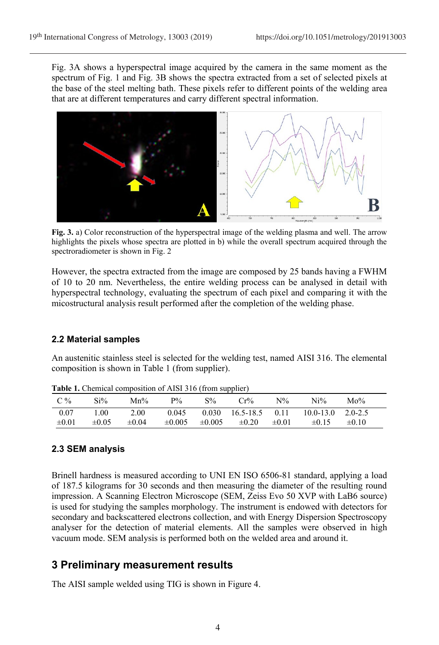Fig. 3A shows a hyperspectral image acquired by the camera in the same moment as the spectrum of Fig. 1 and Fig. 3B shows the spectra extracted from a set of selected pixels at the base of the steel melting bath. These pixels refer to different points of the welding area that are at different temperatures and carry different spectral information.



**Fig. 3.** a) Color reconstruction of the hyperspectral image of the welding plasma and well. The arrow highlights the pixels whose spectra are plotted in b) while the overall spectrum acquired through the spectroradiometer is shown in Fig. 2

However, the spectra extracted from the image are composed by 25 bands having a FWHM of 10 to 20 nm. Nevertheless, the entire welding process can be analysed in detail with hyperspectral technology, evaluating the spectrum of each pixel and comparing it with the micostructural analysis result performed after the completion of the welding phase.

#### **2.2 Material samples**

An austenitic stainless steel is selected for the welding test, named AISI 316. The elemental composition is shown in Table 1 (from supplier).

| $C\%$              | $Si\%$             | $Mn\%$             | $P\%$       | $S\%$ | $Cr\%$                            | $N\%$ | Ni%                                                                    | $Mo\%$     |  |
|--------------------|--------------------|--------------------|-------------|-------|-----------------------------------|-------|------------------------------------------------------------------------|------------|--|
| 0.07<br>$\pm 0.01$ | 1.00<br>$\pm 0.05$ | 2.00<br>$\pm 0.04$ | $\pm 0.005$ |       | $\pm 0.005$ $\pm 0.20$ $\pm 0.01$ |       | $0.045$ $0.030$ $16.5-18.5$ $0.11$ $10.0-13.0$ $2.0-2.5$<br>$\pm 0.15$ | $\pm 0.10$ |  |

**Table 1.** Chemical composition of AISI 316 (from supplier)

### **2.3 SEM analysis**

Brinell hardness is measured according to UNI EN ISO 6506-81 standard, applying a load of 187.5 kilograms for 30 seconds and then measuring the diameter of the resulting round impression. A Scanning Electron Microscope (SEM, Zeiss Evo 50 XVP with LaB6 source) is used for studying the samples morphology. The instrument is endowed with detectors for secondary and backscattered electrons collection, and with Energy Dispersion Spectroscopy analyser for the detection of material elements. All the samples were observed in high vacuum mode. SEM analysis is performed both on the welded area and around it.

## **3 Preliminary measurement results**

The AISI sample welded using TIG is shown in Figure 4.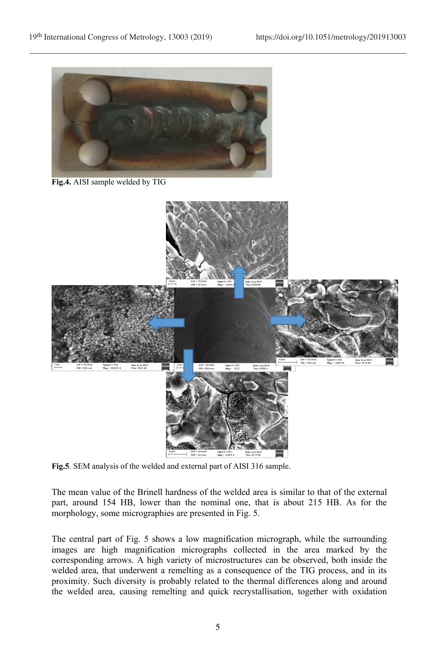

**Fig.4.** AISI sample welded by TIG



**Fig.5**. SEM analysis of the welded and external part of AISI 316 sample.

The mean value of the Brinell hardness of the welded area is similar to that of the external part, around 154 HB, lower than the nominal one, that is about 215 HB. As for the morphology, some micrographies are presented in Fig. 5.

The central part of Fig. 5 shows a low magnification micrograph, while the surrounding images are high magnification micrographs collected in the area marked by the corresponding arrows. A high variety of microstructures can be observed, both inside the welded area, that underwent a remelting as a consequence of the TIG process, and in its proximity. Such diversity is probably related to the thermal differences along and around the welded area, causing remelting and quick recrystallisation, together with oxidation